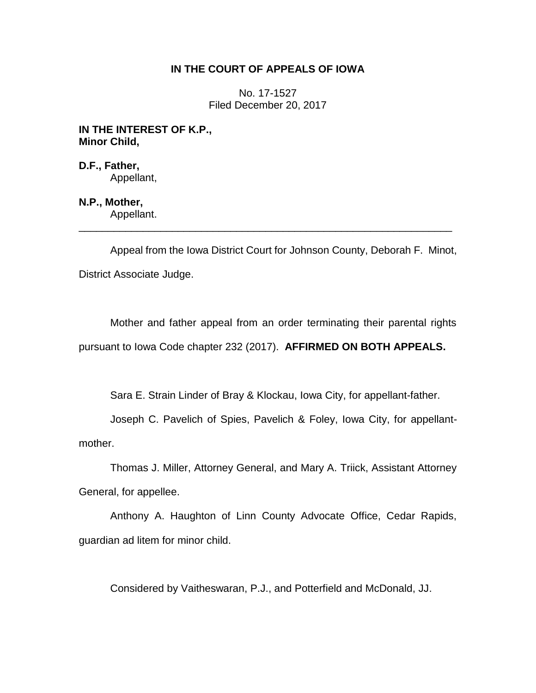## **IN THE COURT OF APPEALS OF IOWA**

No. 17-1527 Filed December 20, 2017

**IN THE INTEREST OF K.P., Minor Child,**

**D.F., Father,** Appellant,

**N.P., Mother,** Appellant.

Appeal from the Iowa District Court for Johnson County, Deborah F. Minot, District Associate Judge.

\_\_\_\_\_\_\_\_\_\_\_\_\_\_\_\_\_\_\_\_\_\_\_\_\_\_\_\_\_\_\_\_\_\_\_\_\_\_\_\_\_\_\_\_\_\_\_\_\_\_\_\_\_\_\_\_\_\_\_\_\_\_\_\_

Mother and father appeal from an order terminating their parental rights pursuant to Iowa Code chapter 232 (2017). **AFFIRMED ON BOTH APPEALS.**

Sara E. Strain Linder of Bray & Klockau, Iowa City, for appellant-father.

Joseph C. Pavelich of Spies, Pavelich & Foley, Iowa City, for appellantmother.

Thomas J. Miller, Attorney General, and Mary A. Triick, Assistant Attorney General, for appellee.

Anthony A. Haughton of Linn County Advocate Office, Cedar Rapids, guardian ad litem for minor child.

Considered by Vaitheswaran, P.J., and Potterfield and McDonald, JJ.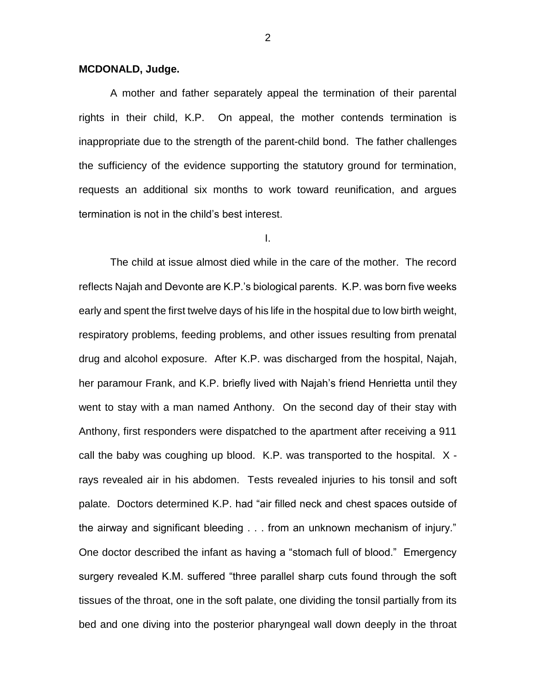### **MCDONALD, Judge.**

A mother and father separately appeal the termination of their parental rights in their child, K.P. On appeal, the mother contends termination is inappropriate due to the strength of the parent-child bond. The father challenges the sufficiency of the evidence supporting the statutory ground for termination, requests an additional six months to work toward reunification, and argues termination is not in the child's best interest.

I.

The child at issue almost died while in the care of the mother. The record reflects Najah and Devonte are K.P.'s biological parents. K.P. was born five weeks early and spent the first twelve days of his life in the hospital due to low birth weight, respiratory problems, feeding problems, and other issues resulting from prenatal drug and alcohol exposure. After K.P. was discharged from the hospital, Najah, her paramour Frank, and K.P. briefly lived with Najah's friend Henrietta until they went to stay with a man named Anthony. On the second day of their stay with Anthony, first responders were dispatched to the apartment after receiving a 911 call the baby was coughing up blood. K.P. was transported to the hospital. X rays revealed air in his abdomen. Tests revealed injuries to his tonsil and soft palate. Doctors determined K.P. had "air filled neck and chest spaces outside of the airway and significant bleeding . . . from an unknown mechanism of injury." One doctor described the infant as having a "stomach full of blood." Emergency surgery revealed K.M. suffered "three parallel sharp cuts found through the soft tissues of the throat, one in the soft palate, one dividing the tonsil partially from its bed and one diving into the posterior pharyngeal wall down deeply in the throat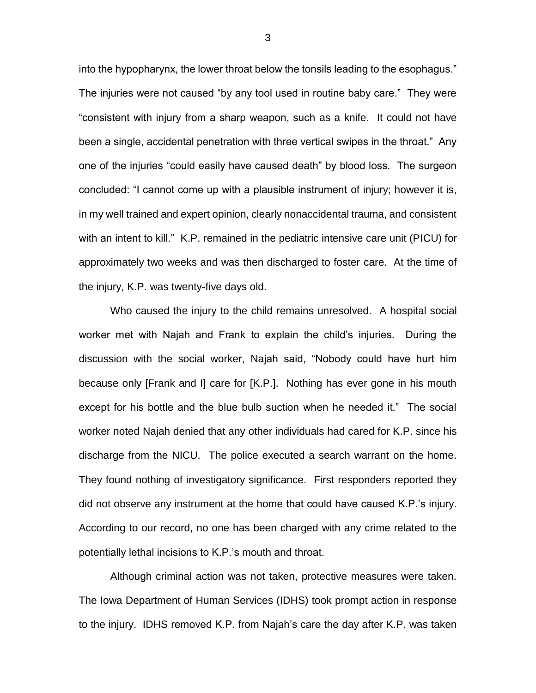into the hypopharynx, the lower throat below the tonsils leading to the esophagus." The injuries were not caused "by any tool used in routine baby care." They were "consistent with injury from a sharp weapon, such as a knife. It could not have been a single, accidental penetration with three vertical swipes in the throat." Any one of the injuries "could easily have caused death" by blood loss. The surgeon concluded: "I cannot come up with a plausible instrument of injury; however it is, in my well trained and expert opinion, clearly nonaccidental trauma, and consistent with an intent to kill." K.P. remained in the pediatric intensive care unit (PICU) for approximately two weeks and was then discharged to foster care. At the time of the injury, K.P. was twenty-five days old.

Who caused the injury to the child remains unresolved. A hospital social worker met with Najah and Frank to explain the child's injuries. During the discussion with the social worker, Najah said, "Nobody could have hurt him because only [Frank and I] care for [K.P.]. Nothing has ever gone in his mouth except for his bottle and the blue bulb suction when he needed it." The social worker noted Najah denied that any other individuals had cared for K.P. since his discharge from the NICU. The police executed a search warrant on the home. They found nothing of investigatory significance. First responders reported they did not observe any instrument at the home that could have caused K.P.'s injury. According to our record, no one has been charged with any crime related to the potentially lethal incisions to K.P.'s mouth and throat.

Although criminal action was not taken, protective measures were taken. The Iowa Department of Human Services (IDHS) took prompt action in response to the injury. IDHS removed K.P. from Najah's care the day after K.P. was taken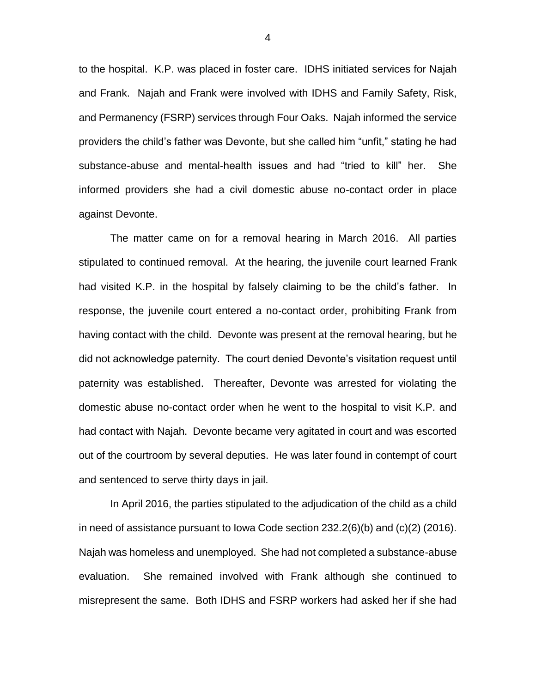to the hospital. K.P. was placed in foster care. IDHS initiated services for Najah and Frank. Najah and Frank were involved with IDHS and Family Safety, Risk, and Permanency (FSRP) services through Four Oaks. Najah informed the service providers the child's father was Devonte, but she called him "unfit," stating he had substance-abuse and mental-health issues and had "tried to kill" her. She informed providers she had a civil domestic abuse no-contact order in place against Devonte.

The matter came on for a removal hearing in March 2016. All parties stipulated to continued removal. At the hearing, the juvenile court learned Frank had visited K.P. in the hospital by falsely claiming to be the child's father. In response, the juvenile court entered a no-contact order, prohibiting Frank from having contact with the child. Devonte was present at the removal hearing, but he did not acknowledge paternity. The court denied Devonte's visitation request until paternity was established. Thereafter, Devonte was arrested for violating the domestic abuse no-contact order when he went to the hospital to visit K.P. and had contact with Najah. Devonte became very agitated in court and was escorted out of the courtroom by several deputies. He was later found in contempt of court and sentenced to serve thirty days in jail.

In April 2016, the parties stipulated to the adjudication of the child as a child in need of assistance pursuant to Iowa Code section 232.2(6)(b) and (c)(2) (2016). Najah was homeless and unemployed. She had not completed a substance-abuse evaluation. She remained involved with Frank although she continued to misrepresent the same. Both IDHS and FSRP workers had asked her if she had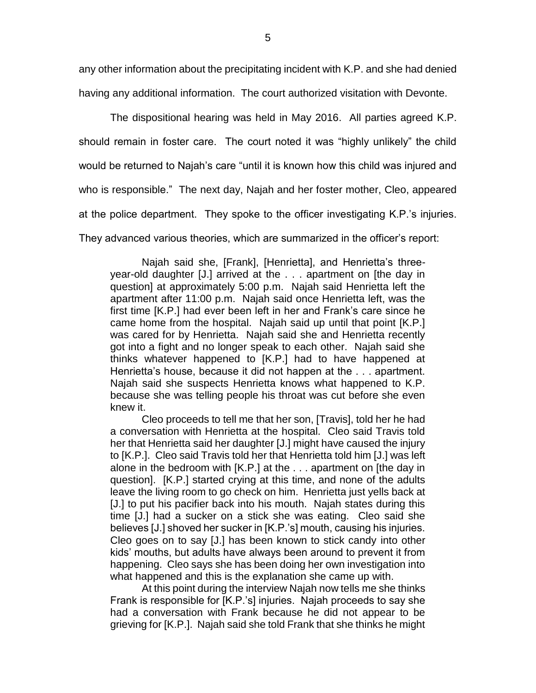any other information about the precipitating incident with K.P. and she had denied having any additional information. The court authorized visitation with Devonte.

The dispositional hearing was held in May 2016. All parties agreed K.P. should remain in foster care. The court noted it was "highly unlikely" the child would be returned to Najah's care "until it is known how this child was injured and who is responsible." The next day, Najah and her foster mother, Cleo, appeared at the police department. They spoke to the officer investigating K.P.'s injuries. They advanced various theories, which are summarized in the officer's report:

Najah said she, [Frank], [Henrietta], and Henrietta's threeyear-old daughter [J.] arrived at the . . . apartment on [the day in question] at approximately 5:00 p.m. Najah said Henrietta left the apartment after 11:00 p.m. Najah said once Henrietta left, was the first time [K.P.] had ever been left in her and Frank's care since he came home from the hospital. Najah said up until that point [K.P.] was cared for by Henrietta. Najah said she and Henrietta recently got into a fight and no longer speak to each other. Najah said she thinks whatever happened to [K.P.] had to have happened at Henrietta's house, because it did not happen at the . . . apartment. Najah said she suspects Henrietta knows what happened to K.P. because she was telling people his throat was cut before she even knew it.

Cleo proceeds to tell me that her son, [Travis], told her he had a conversation with Henrietta at the hospital. Cleo said Travis told her that Henrietta said her daughter [J.] might have caused the injury to [K.P.]. Cleo said Travis told her that Henrietta told him [J.] was left alone in the bedroom with [K.P.] at the . . . apartment on [the day in question]. [K.P.] started crying at this time, and none of the adults leave the living room to go check on him. Henrietta just yells back at [J.] to put his pacifier back into his mouth. Najah states during this time [J.] had a sucker on a stick she was eating. Cleo said she believes [J.] shoved her sucker in [K.P.'s] mouth, causing his injuries. Cleo goes on to say [J.] has been known to stick candy into other kids' mouths, but adults have always been around to prevent it from happening. Cleo says she has been doing her own investigation into what happened and this is the explanation she came up with.

At this point during the interview Najah now tells me she thinks Frank is responsible for [K.P.'s] injuries. Najah proceeds to say she had a conversation with Frank because he did not appear to be grieving for [K.P.]. Najah said she told Frank that she thinks he might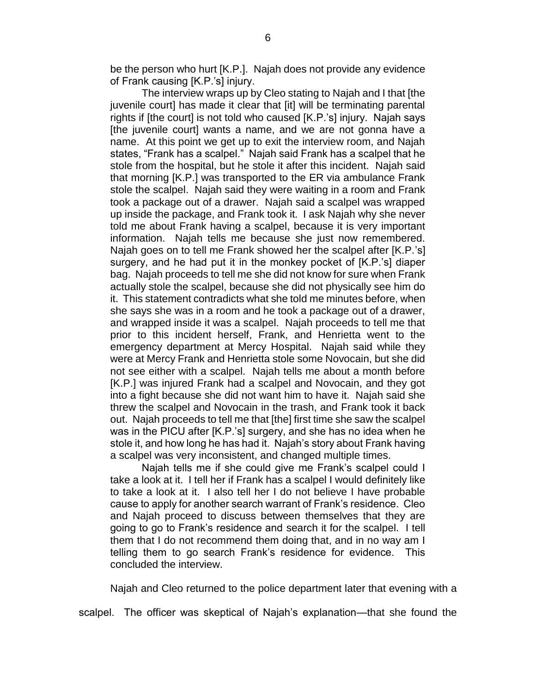be the person who hurt [K.P.]. Najah does not provide any evidence of Frank causing [K.P.'s] injury.

The interview wraps up by Cleo stating to Najah and I that [the juvenile court] has made it clear that [it] will be terminating parental rights if [the court] is not told who caused [K.P.'s] injury. Najah says [the juvenile court] wants a name, and we are not gonna have a name. At this point we get up to exit the interview room, and Najah states, "Frank has a scalpel." Najah said Frank has a scalpel that he stole from the hospital, but he stole it after this incident. Najah said that morning [K.P.] was transported to the ER via ambulance Frank stole the scalpel. Najah said they were waiting in a room and Frank took a package out of a drawer. Najah said a scalpel was wrapped up inside the package, and Frank took it. I ask Najah why she never told me about Frank having a scalpel, because it is very important information. Najah tells me because she just now remembered. Najah goes on to tell me Frank showed her the scalpel after [K.P.'s] surgery, and he had put it in the monkey pocket of [K.P.'s] diaper bag. Najah proceeds to tell me she did not know for sure when Frank actually stole the scalpel, because she did not physically see him do it. This statement contradicts what she told me minutes before, when she says she was in a room and he took a package out of a drawer, and wrapped inside it was a scalpel. Najah proceeds to tell me that prior to this incident herself, Frank, and Henrietta went to the emergency department at Mercy Hospital. Najah said while they were at Mercy Frank and Henrietta stole some Novocain, but she did not see either with a scalpel. Najah tells me about a month before [K.P.] was injured Frank had a scalpel and Novocain, and they got into a fight because she did not want him to have it. Najah said she threw the scalpel and Novocain in the trash, and Frank took it back out. Najah proceeds to tell me that [the] first time she saw the scalpel was in the PICU after [K.P.'s] surgery, and she has no idea when he stole it, and how long he has had it. Najah's story about Frank having a scalpel was very inconsistent, and changed multiple times.

Najah tells me if she could give me Frank's scalpel could I take a look at it. I tell her if Frank has a scalpel I would definitely like to take a look at it. I also tell her I do not believe I have probable cause to apply for another search warrant of Frank's residence. Cleo and Najah proceed to discuss between themselves that they are going to go to Frank's residence and search it for the scalpel. I tell them that I do not recommend them doing that, and in no way am I telling them to go search Frank's residence for evidence. This concluded the interview.

Najah and Cleo returned to the police department later that evening with a

scalpel. The officer was skeptical of Najah's explanation—that she found the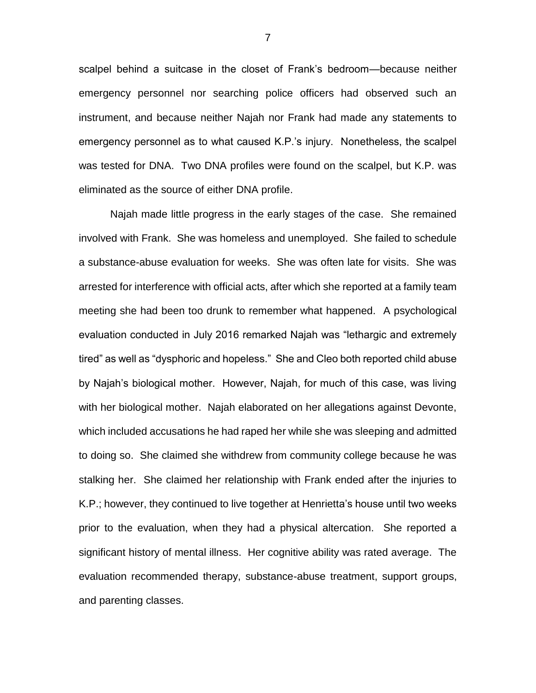scalpel behind a suitcase in the closet of Frank's bedroom—because neither emergency personnel nor searching police officers had observed such an instrument, and because neither Najah nor Frank had made any statements to emergency personnel as to what caused K.P.'s injury. Nonetheless, the scalpel was tested for DNA. Two DNA profiles were found on the scalpel, but K.P. was eliminated as the source of either DNA profile.

Najah made little progress in the early stages of the case. She remained involved with Frank. She was homeless and unemployed. She failed to schedule a substance-abuse evaluation for weeks. She was often late for visits. She was arrested for interference with official acts, after which she reported at a family team meeting she had been too drunk to remember what happened. A psychological evaluation conducted in July 2016 remarked Najah was "lethargic and extremely tired" as well as "dysphoric and hopeless." She and Cleo both reported child abuse by Najah's biological mother. However, Najah, for much of this case, was living with her biological mother. Najah elaborated on her allegations against Devonte, which included accusations he had raped her while she was sleeping and admitted to doing so. She claimed she withdrew from community college because he was stalking her. She claimed her relationship with Frank ended after the injuries to K.P.; however, they continued to live together at Henrietta's house until two weeks prior to the evaluation, when they had a physical altercation. She reported a significant history of mental illness. Her cognitive ability was rated average. The evaluation recommended therapy, substance-abuse treatment, support groups, and parenting classes.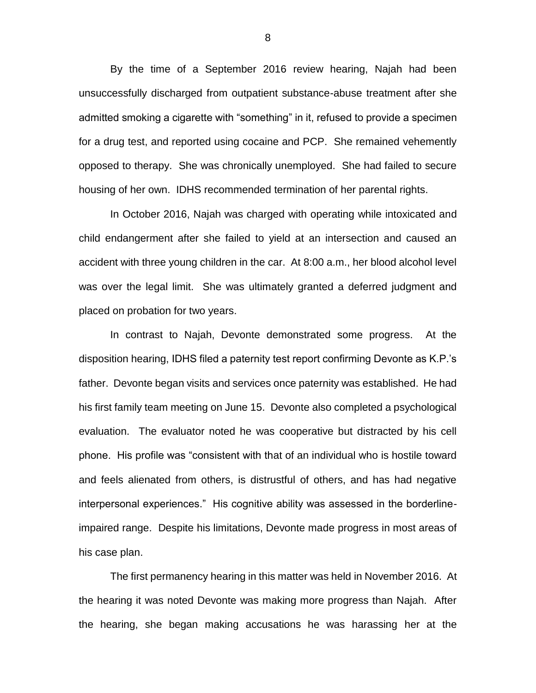By the time of a September 2016 review hearing, Najah had been unsuccessfully discharged from outpatient substance-abuse treatment after she admitted smoking a cigarette with "something" in it, refused to provide a specimen for a drug test, and reported using cocaine and PCP. She remained vehemently opposed to therapy. She was chronically unemployed. She had failed to secure housing of her own. IDHS recommended termination of her parental rights.

In October 2016, Najah was charged with operating while intoxicated and child endangerment after she failed to yield at an intersection and caused an accident with three young children in the car. At 8:00 a.m., her blood alcohol level was over the legal limit. She was ultimately granted a deferred judgment and placed on probation for two years.

In contrast to Najah, Devonte demonstrated some progress. At the disposition hearing, IDHS filed a paternity test report confirming Devonte as K.P.'s father. Devonte began visits and services once paternity was established. He had his first family team meeting on June 15. Devonte also completed a psychological evaluation. The evaluator noted he was cooperative but distracted by his cell phone. His profile was "consistent with that of an individual who is hostile toward and feels alienated from others, is distrustful of others, and has had negative interpersonal experiences." His cognitive ability was assessed in the borderlineimpaired range. Despite his limitations, Devonte made progress in most areas of his case plan.

The first permanency hearing in this matter was held in November 2016. At the hearing it was noted Devonte was making more progress than Najah. After the hearing, she began making accusations he was harassing her at the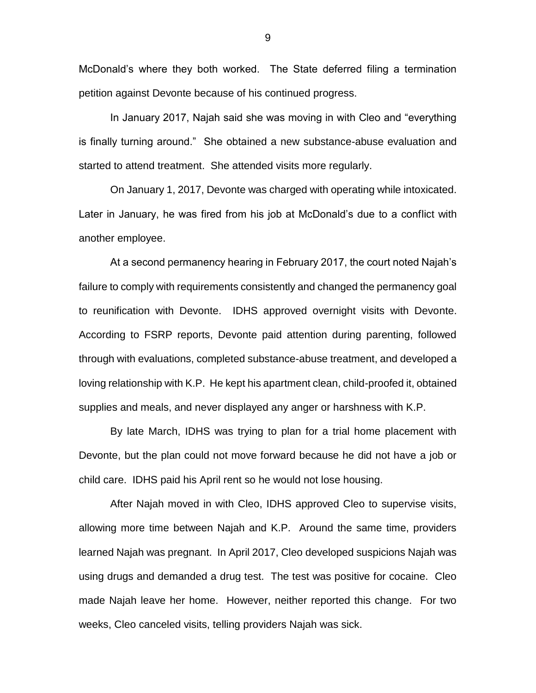McDonald's where they both worked. The State deferred filing a termination petition against Devonte because of his continued progress.

In January 2017, Najah said she was moving in with Cleo and "everything is finally turning around." She obtained a new substance-abuse evaluation and started to attend treatment. She attended visits more regularly.

On January 1, 2017, Devonte was charged with operating while intoxicated. Later in January, he was fired from his job at McDonald's due to a conflict with another employee.

At a second permanency hearing in February 2017, the court noted Najah's failure to comply with requirements consistently and changed the permanency goal to reunification with Devonte. IDHS approved overnight visits with Devonte. According to FSRP reports, Devonte paid attention during parenting, followed through with evaluations, completed substance-abuse treatment, and developed a loving relationship with K.P. He kept his apartment clean, child-proofed it, obtained supplies and meals, and never displayed any anger or harshness with K.P.

By late March, IDHS was trying to plan for a trial home placement with Devonte, but the plan could not move forward because he did not have a job or child care. IDHS paid his April rent so he would not lose housing.

After Najah moved in with Cleo, IDHS approved Cleo to supervise visits, allowing more time between Najah and K.P. Around the same time, providers learned Najah was pregnant. In April 2017, Cleo developed suspicions Najah was using drugs and demanded a drug test. The test was positive for cocaine. Cleo made Najah leave her home. However, neither reported this change. For two weeks, Cleo canceled visits, telling providers Najah was sick.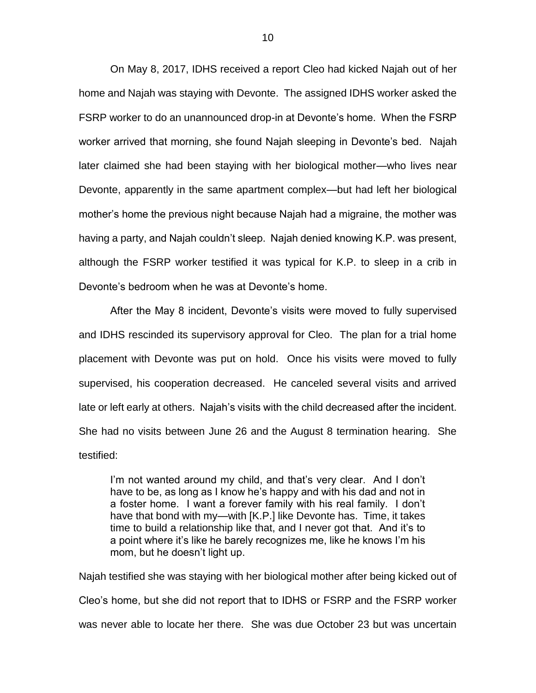On May 8, 2017, IDHS received a report Cleo had kicked Najah out of her home and Najah was staying with Devonte. The assigned IDHS worker asked the FSRP worker to do an unannounced drop-in at Devonte's home. When the FSRP worker arrived that morning, she found Najah sleeping in Devonte's bed. Najah later claimed she had been staying with her biological mother—who lives near Devonte, apparently in the same apartment complex—but had left her biological mother's home the previous night because Najah had a migraine, the mother was having a party, and Najah couldn't sleep. Najah denied knowing K.P. was present, although the FSRP worker testified it was typical for K.P. to sleep in a crib in Devonte's bedroom when he was at Devonte's home.

After the May 8 incident, Devonte's visits were moved to fully supervised and IDHS rescinded its supervisory approval for Cleo. The plan for a trial home placement with Devonte was put on hold. Once his visits were moved to fully supervised, his cooperation decreased. He canceled several visits and arrived late or left early at others. Najah's visits with the child decreased after the incident. She had no visits between June 26 and the August 8 termination hearing. She testified:

I'm not wanted around my child, and that's very clear. And I don't have to be, as long as I know he's happy and with his dad and not in a foster home. I want a forever family with his real family. I don't have that bond with my—with [K.P.] like Devonte has. Time, it takes time to build a relationship like that, and I never got that. And it's to a point where it's like he barely recognizes me, like he knows I'm his mom, but he doesn't light up.

Najah testified she was staying with her biological mother after being kicked out of Cleo's home, but she did not report that to IDHS or FSRP and the FSRP worker was never able to locate her there. She was due October 23 but was uncertain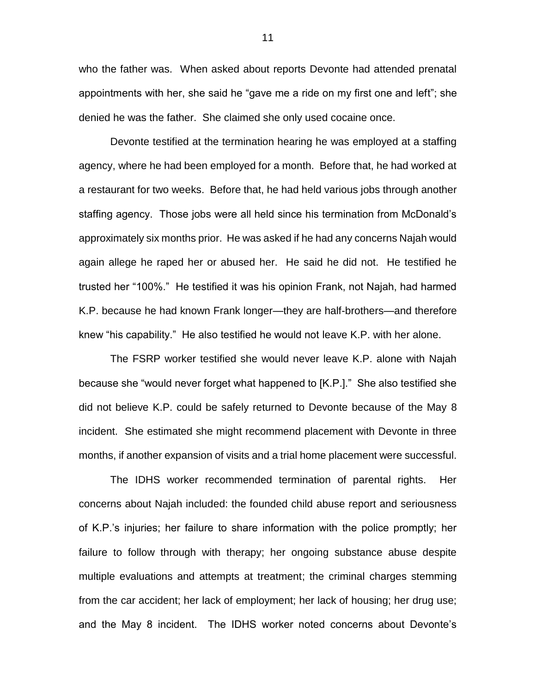who the father was. When asked about reports Devonte had attended prenatal appointments with her, she said he "gave me a ride on my first one and left"; she denied he was the father. She claimed she only used cocaine once.

Devonte testified at the termination hearing he was employed at a staffing agency, where he had been employed for a month. Before that, he had worked at a restaurant for two weeks. Before that, he had held various jobs through another staffing agency. Those jobs were all held since his termination from McDonald's approximately six months prior. He was asked if he had any concerns Najah would again allege he raped her or abused her. He said he did not. He testified he trusted her "100%." He testified it was his opinion Frank, not Najah, had harmed K.P. because he had known Frank longer—they are half-brothers—and therefore knew "his capability." He also testified he would not leave K.P. with her alone.

The FSRP worker testified she would never leave K.P. alone with Najah because she "would never forget what happened to [K.P.]." She also testified she did not believe K.P. could be safely returned to Devonte because of the May 8 incident. She estimated she might recommend placement with Devonte in three months, if another expansion of visits and a trial home placement were successful.

The IDHS worker recommended termination of parental rights. Her concerns about Najah included: the founded child abuse report and seriousness of K.P.'s injuries; her failure to share information with the police promptly; her failure to follow through with therapy; her ongoing substance abuse despite multiple evaluations and attempts at treatment; the criminal charges stemming from the car accident; her lack of employment; her lack of housing; her drug use; and the May 8 incident. The IDHS worker noted concerns about Devonte's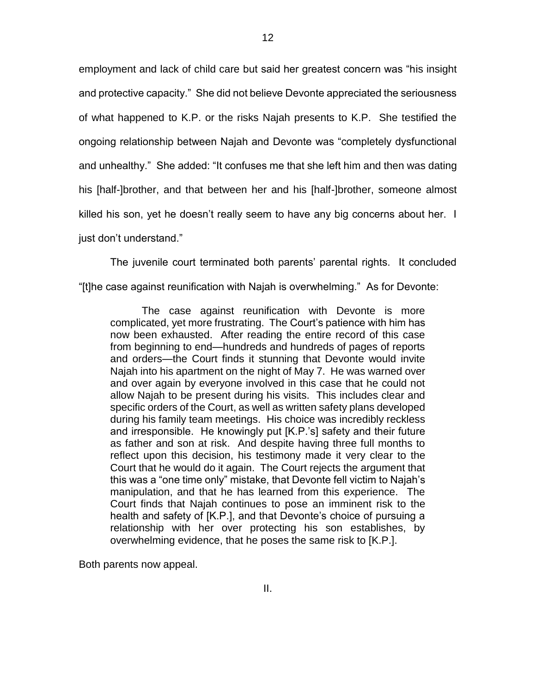employment and lack of child care but said her greatest concern was "his insight and protective capacity." She did not believe Devonte appreciated the seriousness of what happened to K.P. or the risks Najah presents to K.P. She testified the ongoing relationship between Najah and Devonte was "completely dysfunctional and unhealthy." She added: "It confuses me that she left him and then was dating his [half-]brother, and that between her and his [half-]brother, someone almost killed his son, yet he doesn't really seem to have any big concerns about her. I just don't understand."

The juvenile court terminated both parents' parental rights. It concluded "[t]he case against reunification with Najah is overwhelming." As for Devonte:

The case against reunification with Devonte is more complicated, yet more frustrating. The Court's patience with him has now been exhausted. After reading the entire record of this case from beginning to end—hundreds and hundreds of pages of reports and orders—the Court finds it stunning that Devonte would invite Najah into his apartment on the night of May 7. He was warned over and over again by everyone involved in this case that he could not allow Najah to be present during his visits. This includes clear and specific orders of the Court, as well as written safety plans developed during his family team meetings. His choice was incredibly reckless and irresponsible. He knowingly put [K.P.'s] safety and their future as father and son at risk. And despite having three full months to reflect upon this decision, his testimony made it very clear to the Court that he would do it again. The Court rejects the argument that this was a "one time only" mistake, that Devonte fell victim to Najah's manipulation, and that he has learned from this experience. The Court finds that Najah continues to pose an imminent risk to the health and safety of [K.P.], and that Devonte's choice of pursuing a relationship with her over protecting his son establishes, by overwhelming evidence, that he poses the same risk to [K.P.].

Both parents now appeal.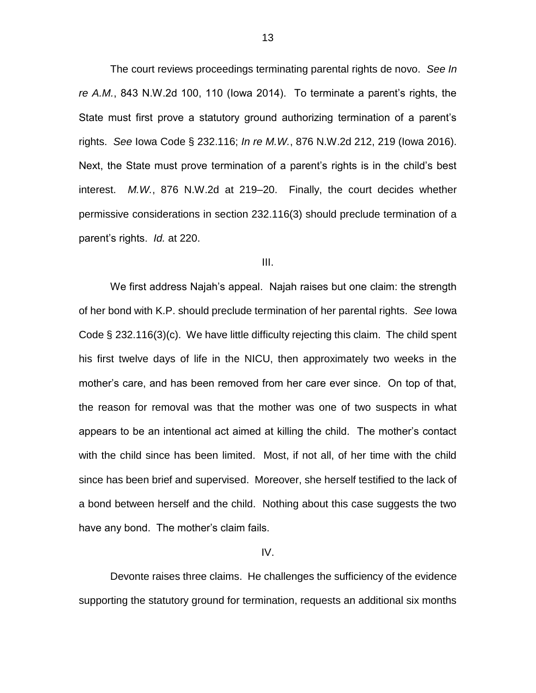The court reviews proceedings terminating parental rights de novo. *See In re A.M.*, 843 N.W.2d 100, 110 (Iowa 2014). To terminate a parent's rights, the State must first prove a statutory ground authorizing termination of a parent's rights. *See* Iowa Code § 232.116; *In re M.W.*, 876 N.W.2d 212, 219 (Iowa 2016). Next, the State must prove termination of a parent's rights is in the child's best interest. *M.W.*, 876 N.W.2d at 219–20. Finally, the court decides whether permissive considerations in section 232.116(3) should preclude termination of a parent's rights. *Id.* at 220.

#### III.

We first address Najah's appeal. Najah raises but one claim: the strength of her bond with K.P. should preclude termination of her parental rights. *See* Iowa Code § 232.116(3)(c). We have little difficulty rejecting this claim. The child spent his first twelve days of life in the NICU, then approximately two weeks in the mother's care, and has been removed from her care ever since. On top of that, the reason for removal was that the mother was one of two suspects in what appears to be an intentional act aimed at killing the child. The mother's contact with the child since has been limited. Most, if not all, of her time with the child since has been brief and supervised. Moreover, she herself testified to the lack of a bond between herself and the child. Nothing about this case suggests the two have any bond. The mother's claim fails.

IV.

Devonte raises three claims. He challenges the sufficiency of the evidence supporting the statutory ground for termination, requests an additional six months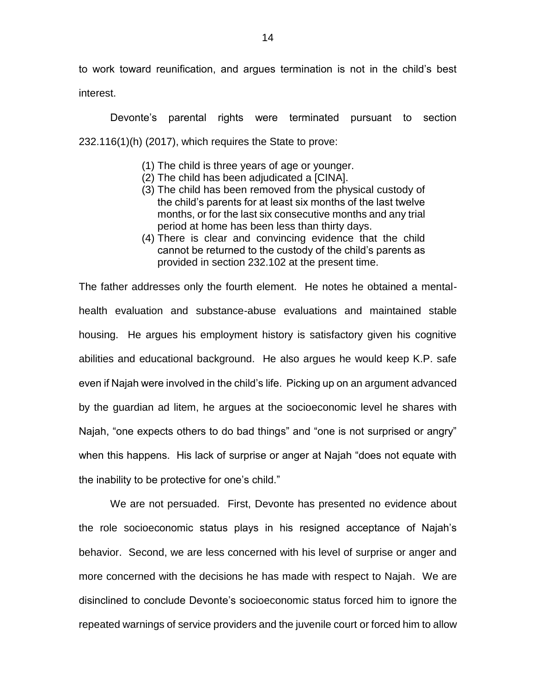to work toward reunification, and argues termination is not in the child's best interest.

Devonte's parental rights were terminated pursuant to section 232.116(1)(h) (2017), which requires the State to prove:

- (1) The child is three years of age or younger.
- (2) The child has been adjudicated a [CINA].
- (3) The child has been removed from the physical custody of the child's parents for at least six months of the last twelve months, or for the last six consecutive months and any trial period at home has been less than thirty days.
- (4) There is clear and convincing evidence that the child cannot be returned to the custody of the child's parents as provided in section 232.102 at the present time.

The father addresses only the fourth element. He notes he obtained a mentalhealth evaluation and substance-abuse evaluations and maintained stable housing. He argues his employment history is satisfactory given his cognitive abilities and educational background. He also argues he would keep K.P. safe even if Najah were involved in the child's life. Picking up on an argument advanced by the guardian ad litem, he argues at the socioeconomic level he shares with Najah, "one expects others to do bad things" and "one is not surprised or angry" when this happens. His lack of surprise or anger at Najah "does not equate with the inability to be protective for one's child."

We are not persuaded. First, Devonte has presented no evidence about the role socioeconomic status plays in his resigned acceptance of Najah's behavior. Second, we are less concerned with his level of surprise or anger and more concerned with the decisions he has made with respect to Najah. We are disinclined to conclude Devonte's socioeconomic status forced him to ignore the repeated warnings of service providers and the juvenile court or forced him to allow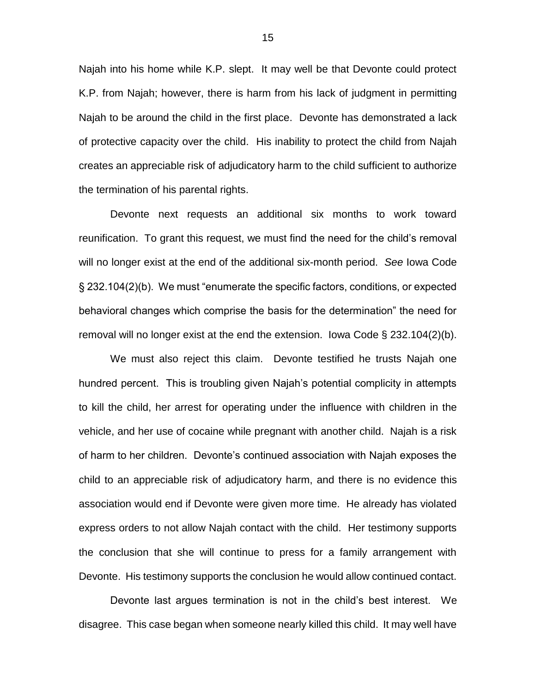Najah into his home while K.P. slept. It may well be that Devonte could protect K.P. from Najah; however, there is harm from his lack of judgment in permitting Najah to be around the child in the first place. Devonte has demonstrated a lack of protective capacity over the child. His inability to protect the child from Najah creates an appreciable risk of adjudicatory harm to the child sufficient to authorize the termination of his parental rights.

Devonte next requests an additional six months to work toward reunification. To grant this request, we must find the need for the child's removal will no longer exist at the end of the additional six-month period. *See* Iowa Code § 232.104(2)(b). We must "enumerate the specific factors, conditions, or expected behavioral changes which comprise the basis for the determination" the need for removal will no longer exist at the end the extension. Iowa Code § 232.104(2)(b).

We must also reject this claim. Devonte testified he trusts Najah one hundred percent. This is troubling given Najah's potential complicity in attempts to kill the child, her arrest for operating under the influence with children in the vehicle, and her use of cocaine while pregnant with another child. Najah is a risk of harm to her children. Devonte's continued association with Najah exposes the child to an appreciable risk of adjudicatory harm, and there is no evidence this association would end if Devonte were given more time. He already has violated express orders to not allow Najah contact with the child. Her testimony supports the conclusion that she will continue to press for a family arrangement with Devonte. His testimony supports the conclusion he would allow continued contact.

Devonte last argues termination is not in the child's best interest. We disagree. This case began when someone nearly killed this child. It may well have